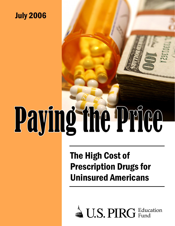# July 2006

# Paying the Price

# The High Cost of Prescription Drugs for Uninsured Americans

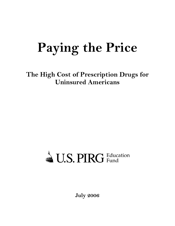# **Paying the Price**

**The High Cost of Prescription Drugs for Uninsured Americans** 

# U.S. PIRG Education

**July 2006**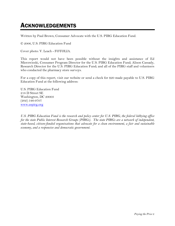### ACKNOWLEDGEMENTS

Written by Paul Brown, Consumer Advocate with the U.S. PIRG Education Fund.

© 2006, U.S. PIRG Education Fund

Cover photo: V. Leach - FOTOLIA.

This report would not have been possible without the insights and assistance of Ed Mierzwinski, Consumer Program Director for the U.S. PIRG Education Fund; Alison Cassady, Research Director for the U.S. PIRG Education Fund; and all of the PIRG staff and volunteers who conducted the pharmacy store surveys.

For a copy of this report, visit our website or send a check for \$20 made payable to U.S. PIRG Education Fund at the following address:

U.S. PIRG Education Fund 218 D Street SE Washington, DC 20003 (202) 546-9707 www.uspirg.org

*U.S. PIRG Education Fund is the research and policy center for U.S. PIRG, the federal lobbying office for the state Public Interest Research Groups (PIRGs). The state PIRGs are a network of independent, state-based, citizen-funded organizations that advocate for a clean environment, a fair and sustainable economy, and a responsive and democratic government.*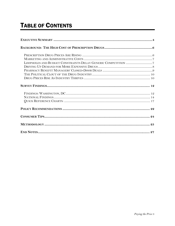# **TABLE OF CONTENTS**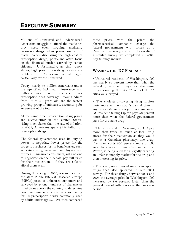Millions of uninsured and underinsured Americans struggle to afford the medicines they need, even forgoing medically necessary drugs when prices are out of reach. When discussing the high cost of prescription drugs, politicians often focus on the financial burden carried by senior citizens. Unfortunately, as this report shows, high prescription drug prices are a problem for Americans of all ages, particularly for the uninsured.

Today, nearly 46 million Americans under the age of 65 lack health insurance, and millions more with insurance lack prescription drug coverage. Young adults from 19 to 34 years old are the fastest growing group of uninsured, accounting for 40 percent of the total.

At the same time, prescription drug prices are skyrocketing in the United States, rising much faster than the rate of inflation. In 2005, Americans spent \$252 billion on prescription drugs.

The federal government uses its buying power to negotiate lower prices for the drugs it purchases for its beneficiaries, such as veterans, government employees and retirees. Uninsured consumers, with no one to negotiate on their behalf, pay full price for their medications—if they are able to afford them at all.

During the spring of 2006, researchers from the state Public Interest Research Groups (PIRGs) posed as uninsured customers and surveyed by phone hundreds of pharmacies in 35 cities across the country to determine how much uninsured consumers are paying for 10 prescription drugs commonly used by adults under age 65. We then compared these prices with the prices the pharmaceutical companies charge the federal government; with prices at a Canadian pharmacy; and with the results of a similar survey we completed in 2004. Key findings include:

#### **WASHINGTON, DC FINDINGS**

• Uninsured residents of Washington, DC pay nearly 65 percent more than what the federal government pays for the same drugs, ranking the city  $8<sup>th</sup>$  out of the 35 cities we surveyed.

• The cholesterol-lowering drug Lipitor costs more in the nation's capital than in any other city we surveyed. An uninsured DC resident taking Lipitor pays 58 percent more than what the federal government pays for the same drug.

• The uninsured in Washington, DC pay more than twice as much at local drug stores for their medication as they would pay at a Canadian pharmacy; one drug, Premarin, costs 550 percent more at DC area pharmacies. Premarin's manufacturer, Wyeth, is being sued for allegedly creating an unfair monopoly market for the drug and then increasing its price.

• This year, we surveyed nine prescription drugs that also appeared in our 2004 survey. For these drugs, between 2004 and 2006 the average price in Washington, DC increased by 8.6 percent, faster than the general rate of inflation over the two-year period.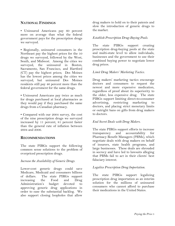#### **NATIONAL FINDINGS**

• Uninsured Americans pay 60 percent more on average than what the federal government pays for the prescription drugs we surveyed.

• Regionally, uninsured consumers in the Northeast pay the highest prices for the 10 drugs we surveyed, followed by the West, South, and Midwest. Among the cities we surveyed, the uninsured in Boston, Sacramento, San Francisco, and Hartford (CT) pay the highest prices; Des Moines has the lowest prices among the cities we surveyed, but uninsured Des Moines residents still pay 46 percent more than the federal government for the same drugs.

• Uninsured Americans pay twice as much for drugs purchased at local pharmacies as they would pay if they purchased the same drugs from a Canadian pharmacy.

• Compared with our 2004 survey, the cost of the nine prescription drugs we surveyed increased by 11 percent, 81 percent faster than the general rate of inflation between 2004 and 2006.

#### **RECOMMENDATIONS**

The state PIRGs support the following common sense solutions to the problem of overpriced prescription drugs.

#### *Increase the Availability of Generic Drugs.*

Lower-cost generic drugs could save Medicare, Medicaid and consumers billions of dollars. The state PIRGs support increasing the Food and Drug Administration's budget devoted to approving generic drug applications in order to ease the substantial backlog. We also support closing loopholes that allow

drug makers to hold on to their patents and slow the introduction of generic drugs to the market.

#### *Establish Prescription Drug-Buying Pools.*

The state PIRGs support creating prescription drug-buying pools at the state and multi-state level to allow individuals, businesses and the government to use their combined buying power to negotiate lower drug prices.

#### *Limit Drug Makers' Marketing Tactics.*

Drug makers' marketing tactics encourage doctors and consumers to request the newest and more expensive medication, regardless of proof about its superiority to the older, less expensive drug. The state PIRGs support limiting direct-to-consumer advertising, restricting marketing to doctors, and placing strict monetary limits or outright bans on gifts from drug makers to doctors.

#### *End Secret Deals with Drug Makers.*

The state PIRGs support efforts to increase transparency and accountability for Pharmacy Benefit Managers (PBMs), which negotiate deals with drug makers on behalf of insurers, state health programs, and large businesses. These deals are shrouded in secrecy and have led to lawsuits alleging that PBMs fail to act in their clients' best fiduciary interest.

#### *Legalize Prescription Drug Importation.*

The state PIRGs support legalizing prescription drug importation as an interim solution for the millions of uninsured consumers who cannot afford to purchase their medications in the United States.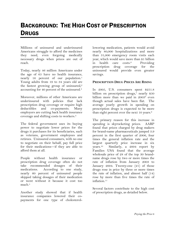# BACKGROUND: THE HIGH COST OF PRESCRIPTION **DRUGS**

Millions of uninsured and underinsured Americans struggle to afford the medicines they need, even forgoing medically necessary drugs when prices are out of reach.

Today, nearly 46 million Americans under the age of 65 have no health insurance, nearly 16 percent of our population.<sup>1</sup> Young adults from 19 to 34 years old are the fastest growing group of uninsured, $2$ accounting for 40 percent of the uninsured.3

Moreover, millions of other Americans are underinsured with policies that lack prescription drug coverage or require high deductibles and co-payments. Many employers are cutting back health insurance coverage and shifting costs to workers.4

The federal government uses its buying power to negotiate lower prices for the drugs it purchases for its beneficiaries, such as veterans, government employees and retirees. Uninsured consumers, with no one to negotiate on their behalf, pay full price for their medications—if they are able to afford them at all.

People without health insurance or prescription drug coverage often do not take recommended dosages of their medications. According to one study, nearly 60 percent of uninsured people skipped taking dosages of their medication or went without it because it cost too much.5

Another study showed that if health insurance companies lowered their copayments for one type of cholesterollowering medication, patients would avoid nearly 80,000 hospitalizations and more than 31,000 emergency room visits each year, which would save more than \$1 billion in health care costs.6 Providing prescription drug coverage for the uninsured would provide even greater savings.

#### **PRESCRIPTION DRUG PRICES ARE RISING**

In 2005, U.S. consumers spent \$251.8 billion on prescription drugs,<sup>7</sup> nearly \$50 billion more than we paid in 2003<sup>8</sup> even though actual sales have been flat. The average yearly growth in spending on prescription drugs is expected to be more than eight percent over the next 10 years.<sup>9</sup>

The primary reason for this increase in spending is skyrocketing prices. AARP found that prices charged by drug makers for brand-name pharmaceuticals jumped 3.9 percent in the first quarter of 2006, four times the general inflation rate and the largest quarterly price increase in six years.10 Similarly, a 2004 report by Families USA found that the average wholesale price of 28 of the top 30 brandname drugs rose by two or more times the rate of inflation from January 2003 to January 2004. Twenty-one (21) of those drugs rose in price by three or more times the rate of inflation, and almost half (14) rose by more than five times the rate of inflation.11

Several factors contribute to the high cost of prescription drugs, as detailed below.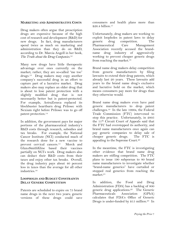#### **MARKETING AND ADMINISTRATIVE COSTS**

Drug makers often argue that prescription drugs are expensive because of the high cost of research and development (R&D) for new drugs. In fact, drug manufacturers spend twice as much on marketing and administration than they do on R&D, according to Dr. Marcia Angell in her book, *The Truth about the Drug Companies.*12

Many new drugs have little therapeutic advantage over ones currently on the market; rather, they are so-called "me too" drugs.13 Drug makers may copy another company's successful drug in an effort to capture part of a lucrative market. Drug makers also may replace an older drug that is about to lose patent protection with a slightly modified drug that is not necessarily better but is patent-protected. For example, AstraZeneca replaced its blockbuster heartburn drug Prilosec with Nexium right before Prilosec was to go off patent protection.14

In addition, the government pays for major portions of the pharmaceutical industry's R&D costs through research, subsidies and tax breaks. For example, the National Cancer Institute (NCI) conducted much of the research done for a new vaccine to prevent cervical cancers.15 Merck and GlaxoSmithKline based their vaccines partially on NCI's work. Drug makers also can deduct their R&D costs from their taxes and enjoy other tax breaks. Overall, the drug industry pays about 40 percent less in taxes than the average for all other industries.16

#### **LOOPHOLES AND BUDGET CONSTRAINTS DELAY GENERIC COMPETITION**

Patents are scheduled to expire on 75 brand name drugs in the next two years; generic versions of these drugs could save

consumers and health plans more than  $$26.4$  billion<sup>17</sup>

Unfortunately, drug makers are working to exploit loopholes in patent laws to delay generic drug competition. The Pharmaceutical Care Management Association recently accused the brandname drug industry of aggressively working to prevent cheaper generic drugs from reaching the market.18

Brand name drug makers delay competition from generic manufacturers by filing lawsuits to extend their drug patents, which already last 20 years. These lawsuits add years to the brand name drug's exclusive and lucrative hold on the market, which means consumers pay more for drugs than they otherwise would.

Brand name drug makers even have paid generic manufacturers to drop patent challenges.19 In the late 1990s, the Federal Trade Commission (FTC) intervened to stop this practice. Unfortunately, in 2005 the 11th Circuit Court of Appeals said that the FTC had overstepped its authority, and brand name manufacturers once again can pay generic companies to delay sale of cheaper generic drugs. The FTC is appealing to the Supreme Court.20

In the meantime, the FTC is investigating other evidence that brand name drug makers are stifling competition. The FTC plans to issue 190 subpoenas to 80 brand name manufacturers to investigate whether "brand-name generics" have curtailed or stopped real generics from reaching the market.21

In addition, the Food and Drug Administration (FDA) has a backlog of 800 generic drug applications.22 The Generic Pharmaceuticals Association (GPhA) calculates that FDA's Office of Generic Drugs is under-funded by  $$15$  million.<sup>23</sup> In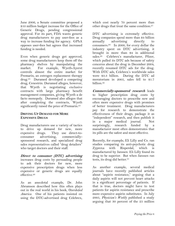June 2006, a Senate committee proposed a \$10 million budget increase for the Office of Generic Drugs, pending congressional approval. For its part, FDA wants generic drug manufacturers to pay user-fees as a way to increase funding for agency. GPhA opposes user-fees but agrees that increased funding is needed.

Even when generic drugs get approved, some drug manufacturers keep them off the pharmacy shelves by manipulating the market. For example, Wyeth-Ayerst controls almost the entire market for Premarin, an estrogen replacement therapy drug.24 Duramed developed a competing drug, Cenestrin. Duramed alleges, however, that Wyeth is negotiating exclusive contracts with large pharmacy benefit management companies, giving Wyeth a de facto monopoly. Duramed also alleges that after completing the contracts, Wyeth significantly raised the price of Premarin.<sup>25</sup>

#### **DRIVING UP DEMAND FOR MORE EXPENSIVE DRUGS**

Drug manufacturers use a variety of tactics to drive up demand for new, more expensive drugs. They use direct-toconsumer advertising, commerciallysponsored research, and specialized drug sales representatives called "drug detailers" who target doctors and their staff.

**Direct to consumer (DTC) advertising** increases drug costs by persuading people to ask their doctors for new, more expensive prescription drugs when less expensive or generic drugs are equally effective.26

As an anecdotal example, Dr. John Abramson described how this often plays out in the real world in his book, *Overdo\$ed America.* One of his patients insisted on using the DTC-advertised drug Celebrex,

which cost nearly 70 percent more than other drugs that treat the same condition.27

DTC advertising is extremely effective. Drug companies spend more than \$4 billion annually advertising directly to consumers.28 In 2000, for every dollar the industry spent on DTC advertising, it brought in more than \$4 in additional sales.29 Celebrex's manufacturer, Pfizer, which pulled its DTC ads because of safety concerns about the drug in December 2004, recently resumed DTC ads for the drug. With DTC ads, Celebrex's worldwide sales were \$3.3 billion. During the DTC ad moratorium in 2005, sales fell to \$1.7 billion.30

**Commercially-sponsored research** leads to higher prescription drug costs by encouraging doctors to prescribe new and often more expensive drugs with promises of better treatment. Drug manufacturers pay for research to demonstrate the effectiveness of their drugs, package it as "independent" research, and then publish it in a major medical journal. Not surprisingly, research funded by a manufacturer most often demonstrates that its pills are the safest and most effective.

Recently, for example, Eli Lilly and Co. ran studies comparing its anti-psychotic drug Zyprexa with Risperdal, which is manufactured by Janssen. Eli Lilly found its drug to be superior. But when Janssen ran tests, its drug did better.<sup>31</sup>

As another example, several medical journals have recently published articles about "aspirin resistance," arguing that a daily aspirin will not prevent heart attacks in a significant percentage of patients. If that is true, doctors might have to test patients for aspirin resistance and prescribe more expensive aspirin substitutes. In July 2005, *Physician's Weekly* published a study arguing that 30 percent of the 25 million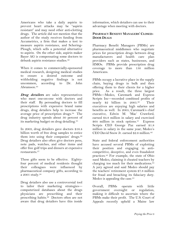Americans who take a daily aspirin to prevent heart attacks may be "aspirin resistant" and may need other anti-clotting drugs. The article did not mention that the author of the study receives funding from Accumetrics, a firm that makes a test to measure aspirin resistance, and Schering-Plough, which sells a potential alternative to aspirin. On the other side, aspirin maker Bayer AG is compensating some doctors to debunk aspirin resistance studies.<sup>32</sup>

When it comes to commercially-sponsored medical research, designing medical studies to ensure a desired outcome and withholding negative findings is not uncommon, according to Dr. John Abramson.33

*Drug detailers* are sales representatives who meet one-on-one with doctors and their staff. By persuading doctors to fill prescriptions with expensive brand name drugs, drug detailers help to increase the average price of prescription drugs.34 The drug industry spends about 30 percent of its marketing budget on drug detailing.35

In 2003, drug detailers gave doctors \$16.4 billion worth of free drug samples to entice them into using their companies' drugs.36 Drug detailers also often give doctors pens, note pads, watches, and other items and offer free golf trips and dinners at expensive restaurants.37

These gifts seem to be effective. Eightyfour percent of medical residents thought their colleagues were influenced by pharmaceutical company gifts, according to a 2001 study.38

Drug detailers also use a controversial tool to tailor their marketing strategies computerized databases about the drugs physicians are prescribing and their prescribing habits.<sup>39</sup> Doctors often are not aware that drug detailers have this inside

information, which detailers can use to their advantage when meeting with doctors.

#### **PHARMACY BENEFIT MANAGERS' CLOSED-DOOR DEALS**

Pharmacy Benefit Managers (PBMs) are pharmaceutical middlemen who negotiate prices for prescription drugs between drug manufacturers and health care plan providers such as states, businesses, and HMOs. PBMs provide prescription drug coverage to more than 150 million Americans.

PBMs occupy a lucrative place in the supply chain, buying drugs in bulk and then offering them to their clients for a higher price. As a result, the three largest PBMs—Medco, Caremark and Express Scripts Inc—recorded combined profits of nearly \$2 billion in 2005.40 Their executives are enjoying high salaries and benefits as well. In 2005, Caremark's chief executive, Edwin M. 'Mac' Crawford, earned \$4.8 million in salary and exercised \$64 million in stock options.41 Express Scripts CEO George Paz earned \$1.8 million in salary in the same year; Medco's CEO David Snow Jr. earned \$2.6 million.<sup>42</sup>

State and federal enforcement authorities have accused several PBMs of exploiting their position and engaging in anticompetitive, deceptive, and even fraudulent practices.43 For example, the state of Ohio sued Medco, claiming it cheated teachers by charging too much for their medications.44 A jury agreed and said Medco should pay the teachers' retirement system \$7.8 million for fraud and breaching its fiduciary duty. Medco is appealing the case.<sup>45</sup>

Overall, PBMs operate with little government oversight or regulation, making it difficult to ascertain where the PBMs make their profit. The U.S. Court of Appeals recently upheld a Maine law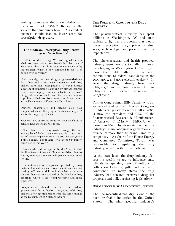seeking to increase the accountability and transparency of PBMs.46 Removing the secrecy that surrounds how PBMs conduct business should lead to lower costs for prescription drug users.

#### **The Medicare Prescription Drug Benefit Program: Who Benefits?**

In 2003, President George W. Bush signed the new Medicare prescription drug benefit into law. As of May 2006, about 38 million seniors were covered by the program, which is now estimated to cost \$788 billion over 10 years.<sup>47</sup>

Unfortunately, the new drug program—Medicare Part D—benefits insurance companies and drug makers more than it does patients. The plan creates a system of competing plans run by private insurers who receive huge government subsidies in return.<sup>48</sup> Drug makers also benefit from the new law because it prohibits Medicare from negotiating lower prices, as the Department of Veterans Affairs does.

Doctors, pharmacists and seniors also have complained about the program's shortcomings. A few of the biggest problems:

*•* Seniors have expressed confusion over which of the private insurance plans to choose.

• The plan covers drug costs through the first \$2,250; beneficiaries then must pay for drugs until out-of-pocket expenses reach \$3,600 for the year.49 This so-called "donut hole" will affect 6.9 million beneficiaries this year.<sup>50</sup>

• Seniors who did not sign up by the May 15, 2006 deadline face stiff late enrollment penalties. Seniors waiting two years to enroll will pay 24 percent more for life.

• Patient-assistance programs operated by drug makers, foundations and government agencies are cutting off many sick and disabled Americans because they are now covered by the Medicare drug program, which is less comprehensive and more expensive.<sup>51</sup>

Policy-makers should reinstate the federal government's full authority to negotiate with drug makers, allowing Medicare to reap the same savings as the Department of Veterans Affairs.

#### **THE POLITICAL CLOUT OF THE DRUG INDUSTRY**

The pharmaceutical industry has spent millions in Washington, DC and state capitals to fight any proposals that would lower prescription drugs prices or slow sales, such as legalizing prescription drug importation.

The pharmaceutical and health products industry spent nearly \$184 million in 2005 on lobbying in Washington, DC and gave more than \$74 million in campaign contributions to federal candidates in the 2000, 2002, and 2004 election cycles.52 In 2003, the drug industry hired 824 lobbyists,<sup>53</sup> and at least seven of their lobbyists are former members of Congress.54

Former Congressman Billy Tauzin, who cosponsored and pushed through Congress the Medicare prescription drug bill in 2003, is now the president and CEO of the Pharmaceutical Research & Manufacturers of America (PhRMA).<sup>55</sup> PhRMA, with more than 100 lobbyists on staff, is the drug industry's main lobbying organization and represents more than 40 brand-name drug companies.56 As chair of the House Energy and Commerce Committee, Tauzin was responsible for regulating the drug industry; now he is their main lobbyist.

At the state level, the drug industry also uses its wealth to try to influence state officials by spending tens of millions of dollars on lobbying, gifts and campaign donations.57 In many states, the drug industry has defeated preferred drug list proposals and bulk purchasing legislation.58

#### **DRUG PRICES RISE AS INDUSTRY THRIVES**

The pharmaceutical industry is one of the most profitable industries in the United States. The pharmaceutical industry's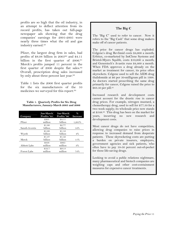profits are so high that the oil industry, in an attempt to deflect attention from its record profits, has taken out full-page newspaper ads showing that the drug companies' earnings for 2001-2005 were nearly three times what the oil and gas industry earned.59

Pfizer, the largest drug firm in sales, had profits of \$8.08 billion in 200560 and \$4.11 billion in the first quarter of 2006.<sup>61</sup> Merck's profits jumped 11 percent in the first quarter of 2006 despite flat sales.<sup>62</sup> Overall, prescription drug sales increased by only about three percent last year.<sup>63</sup>

Table 1 lists the 2006 first quarter profits for the six manufacturers of the 10 medicines we surveyed for this report.64

| Table 1. Quarterly Profits for Six Drug    |
|--------------------------------------------|
| Manufacturers, January-March 2005 and 2006 |

| Company        | Jan-March<br>Profits '05 | Jan-March<br>Profits '06 | $\%$<br><b>Increase</b> |
|----------------|--------------------------|--------------------------|-------------------------|
|                | \$301                    | \$4.11                   |                         |
| Pfizer         | million                  | billion                  | 1,265%                  |
|                | \$1.80                   | \$2.77                   |                         |
| Sanofi-Aventis | billion                  | billion                  | 54%                     |
|                | \$1.08                   | \$1.12                   |                         |
| Wyeth          | billion                  | billion                  | $4\%$                   |
|                | \$1.37                   | \$1.52                   |                         |
| Merck          | billion                  | billion                  | 11%                     |
|                | \$838                    | \$865                    |                         |
| Abbott Labs    | million                  | million                  | 3%                      |
|                | \$52.7                   | \$91.8                   |                         |
| Forest Labs    | million                  | million                  | 74%                     |

#### **The Big C**

The "Big C" used to refer to cancer. Now it refers to the "Big Cash" that some drug makers make off of cancer patients.

The price for cancer drugs has exploded. Celgene's drug Revlimid costs \$4,600 a month; Erbitux, co-marketed by ImClone Systems and Bristol-Myers Squibb, costs \$10,000 a month; and Genentech's Avastin runs \$4,400 a month. When FDA approves a drug already on the market as treatment for cancer, its price often skyrockets. Celgene used to sell the AIDS drug thalidomide at \$6 per 50-milligram pill in 1998. As doctors started prescribing the same drug primarily for cancer, Celgene raised the price to \$63.50 per pill.<sup>65</sup>

Increased research and development costs cannot account for the drastic rise in cancer drug prices. For example, nitrogen mustard, a chemotherapy drug, used to sell for \$77.50 for a two week supply; its wholesale price now stands at \$548.66 This drug has been on the market for years, incurring no new research and development costs.

Most cancer drugs do not have competition, allowing drug companies to raise prices in response to increased demand from desperate patients. These skyrocketing costs are putting a burden on private insurers, employers, government agencies and sick patients, who often have to pay 10-50 percent out-of-pocket for these life-saving drugs.

Looking to avoid a public relations nightmare, many pharmaceutical and biotech companies are weighing caps and other cost-containment measures for expensive cancer treatments.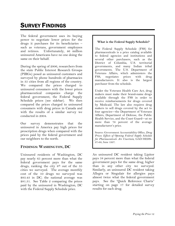# SURVEY FINDINGS

The federal government uses its buying power to negotiate lower prices for the drugs it purchases for its beneficiaries – such as veterans, government employees and retirees. Unfortunately, 46 million uninsured Americans have no one doing the same on their behalf.

During the spring of 2006, researchers from the state Public Interest Research Groups (PIRGs) posed as uninsured customers and surveyed by phone hundreds of pharmacies in 35 cities from all regions of the country. We compared the prices charged to uninsured consumers with the lower prices pharmaceutical companies charge the federal government, the Federal Supply Schedule prices (see sidebar). We then compared the prices charged to uninsured consumers with drug prices in Canada and with the results of a similar survey we conducted in 2004.

Our survey demonstrates that the uninsured in America pay high prices for prescription drugs when compared with the prices paid by the federal government and our neighbors to the north.

#### **FINDINGS: WASHINGTON, DC**

Uninsured residents of Washington, DC pay nearly 65 percent more than what the federal government pays for the same drugs, ranking the city  $8<sup>th</sup>$  out of the 35 cities we surveyed. The average monthly cost of the 10 drugs we surveyed was \$83.43 in DC; the national average was \$81.31. See Table 2 comparing the prices paid by the uninsured in Washington, DC with the Federal Supply Schedule price.

#### **What is the Federal Supply Schedule?**

The Federal Supply Schedule (FSS) for pharmaceuticals is a price catalog available to federal agencies and institutions and several other purchasers, such as the District of Columbia, U.S. territorial governments, and many Indian tribal governments. The U.S. Department of Veterans Affairs, which administers the FSS, negotiates prices with drug manufacturers. It also is the largest purchaser from the schedule.

Under the Veterans Health Care Act, drug makers must make their brand-name drugs available through the FSS in order to receive reimbursements for drugs covered by Medicaid. The law also requires drug makers to sell drugs covered by the act to four agencies—the Department of Veterans Affairs, Department of Defense, the Public Health Service, and the Coast Guard—at no more than 76 percent of the average manufacturer's price.

Source: Government Accountability Office, *Drug Prices: Effects of Opening Federal Supply Schedule for Pharmaceuticals Are Uncertain*, GAO/HEHS-97-60, June 1997.

An uninsured DC resident taking Lipitor pays 58 percent more than what the federal government pays for the same drug, higher than in any other city we surveyed. Similarly, an uninsured DC resident taking Allegra or Singulair for allergies pays almost twice what the federal government pays. See the "Quick Reference Charts" starting on page 17 for detailed survey results for each drug.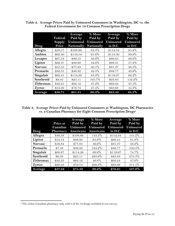|                  | Federal       | Average<br>Paid by | % More<br>Paid by | Average<br>Paid by | % More<br>Paid by |
|------------------|---------------|--------------------|-------------------|--------------------|-------------------|
|                  | <b>Supply</b> | <b>Uninsured</b>   | <b>Uninsured</b>  | <b>Uninsured</b>   | <b>Uninsured</b>  |
| Drug             | Price         | Nationally         | Nationally        | in D.C.            | in D.C.           |
| Allegra          | \$58.57       | \$108.66           | 85.5%             | \$112.34           | 91.8%             |
| Ambien           | \$62.40       | \$119.54           | 91.6%             | \$118.50           | 89.9%             |
| Lexapro          | \$67.54       | \$89.55            | 32.6%             | \$86.85            | 28.6%             |
| Lipitor          | \$62.37       | \$89.80            | 44.0%             | \$98.41            | 57.8%             |
| <b>Norvasc</b>   | \$55.55       | \$77.83            | $40.1\%$          | \$81.37            | 46.5%             |
| Premarin         | \$32.51       | \$46.32            | 42.5%             | \$46.77            | 43.9%             |
| Singulair        | \$62.41       | \$114.39           | 83.3%             | \$119.97           | 92.2%             |
| Synthroid        | \$9.45        | \$25.11            | 165.7%            | \$23.83            | 152.2%            |
| <b>Zithromax</b> | \$42.21       | \$62.12            | 47.2%             | \$62.24            | 47.5%             |
| Zyrtec           | \$54.09       | \$79.74            | 47.4%             | \$83.98            | 55.3%             |
| Average          | \$50.71       | \$81.31            | 60.3%             | \$83.43            | 64.5%             |

**Table 2. Average Prices Paid by Uninsured Consumers in Washington, DC vs. the Federal Government for 10 Common Prescription Drugs** 

**Table 3. Average Prices Paid by Uninsured Consumers at Washington, DC Pharmacies vs. a Canadian Pharmacy for Eight Common Prescription Drugsa**

|                | Price at<br>Canadian | Average<br>Paid by<br><b>Uninsured</b> | % More<br>Paid by<br><b>Uninsured</b> | Average<br>Paid by<br><b>Uninsured</b> | % More<br>Paid by<br><b>Uninsured</b> |
|----------------|----------------------|----------------------------------------|---------------------------------------|----------------------------------------|---------------------------------------|
| Drug           | Pharmacy             | Americans                              | <b>Americans</b>                      | in D.C.                                | in D.C.                               |
| Allegra        | \$46.58              | \$108.66                               | 133.3%                                | \$112.34                               | 141.2%                                |
| Lipitor        | \$54.14              | \$89.80                                | 65.9%                                 | \$98.41                                | 81.8%                                 |
| <b>Norvasc</b> | \$56.84              | \$77.83                                | 36.9%                                 | \$81.37                                | 43.2%                                 |
| Premarin       | \$7.19               | \$46.32                                | 544.2%                                | \$46.77                                | 550.5%                                |
| Singulair      | \$68.67              | \$114.39                               | 66.6%                                 | \$119.97                               | 74.7%                                 |
| Synthroid      | \$6.38               | \$25.11                                | 293.6%                                | \$23.83                                | 273.5%                                |
| Zithromax      | \$42.33              | \$62.12                                | $46.8\%$                              | \$62.24                                | $47.0\%$                              |
| Zyrtec         | \$20.43              | \$79.74                                | 290.3%                                | \$83.98                                | 311.1%                                |
| Average        | \$37.82              | \$75.50                                | 99.6%                                 | \$78.61                                | 107.9%                                |

 $\overline{a}$ a The online Canadian pharmacy only sold 8 of the 10 drugs included in our survey.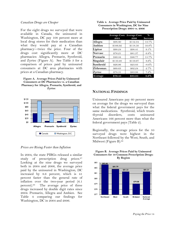#### *Canadian Drugs are Cheaper*

For the eight drugs we surveyed that were available in Canada, the uninsured in Washington, DC pay 108 percent more at local drug stores for their medication than what they would pay at a Canadian pharmacy—twice the price. Four of the drugs cost significantly more at DC pharmacies: Allegra, Premarin, Synthroid, and Zyrtec (Figure A). See Table 3 for a comparison of prices paid by uninsured consumers at DC area pharmacies with prices at a Canadian pharmacy.

**Figure A. Average Prices Paid by Uninsured Consumers at DC Pharmacies vs. a Canadian Pharmacy for Allegra, Premarin, Synthroid, and Zyrtec** 



#### *Prices are Rising Faster than Inflation*

In 2004, the state PIRGs released a similar study of prescription drug prices.<sup>67</sup> Looking at the nine drugs we surveyed both in 2004 and 2006, the average price paid by the uninsured in Washington, DC increased by 8.6 percent, which is 41 percent faster than the general rate of inflation over the two-year period (6.1 percent).68 The average price of three drugs increased by double digit rates since 2004: Premarin, Allegra and Ambien. See Table 4 comparing our findings for Washington, DC in 2004 and 2006.

| Table 4. Average Price Paid by Uninsured    |
|---------------------------------------------|
| <b>Consumers in Washington, DC for Nine</b> |
| Prescription Drugs: 2004 vs. 2006           |

|                |          | <b>Average Cost: Average Cost:</b> | $\%$            |
|----------------|----------|------------------------------------|-----------------|
|                | 2004     | 2006                               | <b>Increase</b> |
| Allegra        | \$98.80  | \$112.34                           | 13.7%           |
| Ambien         | \$106.92 | \$118.50                           | 10.8%           |
| Lipitor        | \$90.24  | \$98.41                            | $9.1\%$         |
| <b>Norvasc</b> | \$76.21  | \$81.37                            | $6.8\%$         |
| Premarin       | \$40.44  | \$46.77                            | $15.7\%$        |
| Singulair      | \$110.48 | \$119.97                           | $8.6\%$         |
| Synthroid      | \$26.06  | \$23.83                            | $-8.6\%$        |
| Zithromax      | \$60.63  | \$62.24                            | 2.7%            |
| Zyrtec         | \$78.31  | \$83.98                            | 7.2%            |
| Average        | \$76.45  | \$83.05                            | $8.6\%$         |

#### **NATIONAL FINDINGS**

Uninsured Americans pay 60 percent more on average for the drugs we surveyed than what the federal government pays for the same medications. Synthroid, which treats thyroid disorders, costs uninsured Americans 166 percent more than what the federal government pays (Table 2).

Regionally, the average prices for the 10 surveyed drugs were highest in the Northeast followed by the West, South, and Midwest (Figure B).69



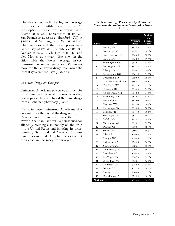The five cities with the highest average price for a monthly dose of the 10 prescription drugs we surveyed were Boston at \$87.86, Sacramento at \$85.51, San Francisco at \$85.32, Hartford (CT) at \$85.03 and Wilmington (DE) at \$83.86. The five cities with the lowest prices were Green Bay at \$78.61, Columbus at \$78.39, Denver at \$77.15, Chicago at \$76.60 and Des Moines at \$74.25. But even in the cities with the lowest average prices, uninsured consumers pay about 50 percent more for the surveyed drugs than what the federal government pays (Table 5).

#### *Canadian Drugs are Cheaper*

Uninsured Americans pay twice as much for drugs purchased at local pharmacies as they would pay if they purchased the same drugs from a Canadian pharmacy (Table 3).

Premarin costs uninsured Americans 544 percent more than what the drug sells for in Canada—more than six times the price. Wyeth, the manufacturer, is being sued for allegedly creating a monopoly on the drug in the United States and inflating its price. Similarly, Synthroid and Zyrtec cost almost four times more at U.S. pharmacies than at the Canadian pharmacy we surveyed.

| Table 5. Average Prices Paid by Uninsured          |
|----------------------------------------------------|
| <b>Consumers for 10 Common Prescription Drugs:</b> |
| By City                                            |

|                |                      |         | % More<br>than |
|----------------|----------------------|---------|----------------|
|                |                      | Average | Federal        |
| Rank           | City                 | Price   | Govt.          |
| 1              | Boston, MA           | \$87.86 | 73.2%          |
| $\overline{2}$ | Sacramento, CA       | \$85.51 | $68.6\%$       |
| 3              | San Francisco, CA    | \$85.32 | 68.3%          |
| $\overline{4}$ | Hartford, CT         | \$85.03 | 67.7%          |
| 5              | Wilmington, DE       | \$83.86 | 65.4%          |
| 6              | Los Angeles, CA      | \$83.78 | 65.2%          |
| $\overline{7}$ | Albany, NY           | \$83.62 | 64.9%          |
| 8              | Washington, DC       | \$83.43 | 64.5%          |
| 9              | Greenfield, MA       | \$82.80 | 63.3%          |
| 10             | Norfolk/V. Beach, VA | \$82.54 | 62.8%          |
| 11             | New York, NY         | \$82.39 | 62.5%          |
| 12             | Honolulu, HI         | \$82.39 | 62.5%          |
| 13             | Albuquerque, NM      | \$81.92 | 61.5%          |
| 14             | Baltimore, MD        | \$81.88 | 61.5%          |
| 15             | Portland, OR         | \$81.60 | 60.9%          |
| 16             | Madison, WI          | \$81.54 | 60.8%          |
| 17             | Anchorage, AK        | \$81.53 | 60.8%          |
| 18             | Lansing, MI          | \$81.42 | $60.6\%$       |
| 19             | San Diego, CA        | \$81.17 | 60.1%          |
| 20             | Buffalo, NY          | \$81.02 | 59.8%          |
| 21             | Milwaukee, WI        | \$81.01 | 59.7%          |
| 22             | Detroit, MI          | \$80.81 | 59.4%          |
| 23             | Seattle, WA          | \$80.56 | 58.9%          |
| 24             | Miami, FL            | \$79.94 | 57.6%          |
| 25             | Raleigh, NC          | \$79.86 | $57.5\%$       |
| 26             | Richmond, VA         | \$79.56 | 56.9%          |
| 27             | New Haven, CT        | \$79.55 | 56.9%          |
| 28             | Tallahassee, FL      | \$79.47 | 56.7%          |
| 29             | Providence, RI       | \$79.03 | 55.9%          |
| 30             | Las Vegas, NV        | \$78.78 | 55.3%          |
| 31             | Green Bay, WI        | \$78.61 | 55.0%          |
| 32             | Columbus, OH         | \$78.39 | 54.6%          |
| 33             | Denver, CO           | \$77.15 | 52.1%          |
| 34             | Chicago, IL          | \$76.60 | 51.1%          |
| 35             | Des Moines, IA       | \$74.25 | 46.4%          |
| National       |                      | \$81.31 | 60.3%          |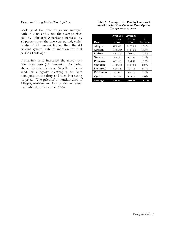#### *Prices are Rising Faster than Inflation*

Looking at the nine drugs we surveyed both in 2004 and 2006, the average price paid by uninsured Americans increased by 11 percent over the two year period, which is almost 81 percent higher than the 6.1 percent general rate of inflation for that period (Table 6).70

Premarin's price increased the most from two years ago (18 percent). As noted above, its manufacturer, Wyeth, is being sued for allegedly creating a de facto monopoly on the drug and then increasing its price. The price of a monthly dose of Allegra, Ambien, and Lipitor also increased by double digit rates since 2004.

#### **Table 6. Average Price Paid by Uninsured Americans for Nine Common Prescription Drugs: 2004 vs. 2006**

|                | Average  | Average  |                 |
|----------------|----------|----------|-----------------|
|                | Price:   | Price:   | $\%$            |
| Drug           | 2004     | 2006     | <b>Increase</b> |
| Allegra        | \$93.33  | \$108.66 | 16.4%           |
| Ambien         | \$103.49 | \$119.54 | 15.5%           |
| Lipitor        | \$81.17  | \$89.80  | $10.6\%$        |
| <b>Norvasc</b> | \$72.55  | \$77.83  | 7.3%            |
| Premarin       | \$39.26  | \$46.32  | 18.0%           |
| Singulair      | \$105.88 | \$114.39 | 8.0%            |
| Synthroid      | \$24.44  | \$25.11  | 2.7%            |
| Zithromax      | \$57.65  | \$62.12  | 7.7%            |
| Zyrtec         | \$73.82  | \$79.74  | $8.0\%$         |
| Average        | \$72.40  | \$80.39  | 11.0%           |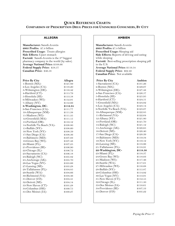#### **QUICK REFERENCE CHARTS:**

**COMPARISON OF PRESCRIPTION DRUG PRICES FOR UNINSURED CONSUMERS, BY CITY**

#### **ALLEGRA**

**Manufacturer:** Sanofi-Aventis **2005 Profits:** \$7.4 billion **Prescribed Usage:** Treats allergies Side Effects: Upset stomach Factoid: Sanofi-Aventis is the 3<sup>rd</sup> biggest pharmacy company in the world (by sales). **Average National Price:** \$108.66 **Federal Supply Price:** \$58.57 **Canadian Price:** \$46.58

| <b>Price By City</b>      | Allegra  |
|---------------------------|----------|
| 1-Boston (MA)-            | \$121.89 |
| 2-Los Angeles (CA)-       | \$118.20 |
| 3-Wilmington (DE)-        | \$116.42 |
| 4-Hartford (CT)-          | \$115.79 |
| 5-Honolulu (HI)-          | \$113.58 |
| 6-Milwaukee (WI)-         | \$112.91 |
| 7-Albany (NY)-            | \$112.66 |
| 8-Washington, DC-         | \$112.34 |
| 9-San Francisco (CA)-     | \$111.77 |
| 10-Albuquerque (NM)-      | \$111.38 |
| 11-Madison (WI)-          | \$111.35 |
| 12-Greenfield (MA)-       | \$111.15 |
| 13-Portland (OR)-         | \$110.12 |
| 14-Norfolk/Va Beach (VA)- | \$108.80 |
| 15-Buffalo (NY)-          | \$108.60 |
| 16-New York (NY)-         | \$108.59 |
| 17-San Diego (CA)-        | \$108.36 |
| 18-Baltimore (MD)-        | \$107.93 |
| 19-Green Bay (WI)-        | \$107.48 |
| 20-Miami (FL)-            | \$107.25 |
| 21-Providence (RI)-       | \$106.90 |
| 22-Chicago (IL)-          | \$106.72 |
| 23-Sacramento (CA)-       | \$106.18 |
| 24-Raleigh (NC)-          | \$105.82 |
| 25-Anchorage (AK)-        | \$105.70 |
| 26-Las Vegas (NV)-        | \$105.66 |
| 27-Lansing (MI)-          | \$105.28 |
| 28-Tallahassee (FL)-      | \$104.85 |
| 29-Seattle (WA)-          | \$104.66 |
| 30-Richmond (VA)-         | \$104.46 |
| 31-Denver (CO)-           | \$104.41 |
| 32-Detroit (MI)-          | \$104.14 |
| 33-New Haven (CT)-        | \$101.28 |
| 34-Columbus (OH)-         | \$100.75 |
| 35-Des Moines (IA)-       | \$100.27 |
|                           |          |
|                           |          |

#### **AMBIEN**

**Manufacturer:** Sanofi-Aventis **2005 Profits:** \$7.4 billion **Prescribed Usage:** Sleeping aid **Side Effects:** Reports of driving and eating while sleeping **Factoid:** Best-selling prescription sleeping pill in the U.S. **Average National Price:** \$119.54 **Federal Supply Price:** \$62.40 **Canadian Price:** Not available

| <b>Price By City</b>     | Ambien   |
|--------------------------|----------|
| 1-Sacramento (CA)-       | \$131.26 |
| 2-Boston (MA)-           | \$129.07 |
| 3-Wilmington (DE)-       | \$127.48 |
| 4-San Francisco (CA)-    | \$126.57 |
| 5-Honolulu (HI)-         | \$125.95 |
| 6-Hartford (CT)-         | \$124.51 |
| 7-Greenfield (MA)-       | \$124.02 |
| 8-Los Angeles (CA)-      | \$123.14 |
| 9-Norfolk/Va Beach (VA)- | \$123.07 |
| 10-Albuquerque (NM)-     | \$122.85 |
| 11-Richmond (VA)-        | \$122.64 |
| 12-Albany (NY)-          | \$121.80 |
| 13-Portland (OR)-        | \$121.70 |
| 14-Raleigh (NC)-         | \$121.12 |
| 15-Anchorage (AK)-       | \$120.65 |
| 16-Detroit (MI)-         | \$120.40 |
| 17-San Diego (CA)-       | \$120.39 |
| 18-Baltimore (MD)-       | \$119.34 |
| 19-New York (NY)-        | \$119.12 |
| 20-Lansing (MI)-         | \$118.96 |
| 21-Tallahassee (FL)-     | \$118.91 |
| 22-Washington, DC-       | \$118.50 |
| 23-Miami (FL)-           | \$118.37 |
| 24-Green Bay (WI)-       | \$118.03 |
| 25-Madison (WI)-         | \$117.46 |
| 26-Seattle (WA)-         | \$117.01 |
| 27-Milwaukee (WI)-       | \$116.68 |
| 28-Buffalo (NY)-         | \$115.87 |
| 29-Columbus (OH)-        | \$114.02 |
| 30-Las Vegas (NV)-       | \$113.91 |
| 31-New Haven (CT)-       | \$112.55 |
| 32-Chicago (IL)-         | \$111.50 |
| 33-Des Moines (IA)-      | \$110.61 |
| 34-Providence (RI)-      | \$107.53 |
| 35-Denver (CO)-          | \$105.22 |
|                          |          |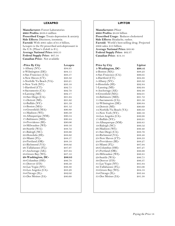#### **LEXAPRO**

**Manufacturer:** Forest Laboratories **2005 Profits:** \$838.8 million **Prescribed Usage:** Treats depression & anxiety **Side Effects:** Dizziness, insomnia. **Factoid:** With 2005 sales of \$1.9 billion, Lexapro is the #2 prescribed anti-depressant in the U.S. (Pfizer's Zoloft is  $\#1$ ). **Average National Price:** \$89.55 **Federal Supply Price:** \$67.54 **Canadian Price:** Not available

| -Price By City           | Lexapro |
|--------------------------|---------|
| 1-Albany (NY)-           | \$94.95 |
| 2-Wilmington (DE)-       | \$94.15 |
| 3-San Francisco (CA)-    | \$93.57 |
| 4-New Haven (CT)-        | \$93.32 |
| 5-Norfolk/Va Beach (VA)- | \$93.21 |
| 6-New York (NY)-         | \$93.10 |
| 7-Hartford (CT)-         | \$92.75 |
| 8-Sacramento (CA)-       | \$92.70 |
| 9-Lansing (MI)-          | \$92.17 |
| 10-San Diego (CA)-       | \$91.64 |
| 11-Detroit (MI)-         | \$91.62 |
| 12-Buffalo (NY)-         | \$91.59 |
| 13-Boston (MA)-          | \$91.12 |
| 14-Greenfield (MA)-      | \$90.89 |
| 15-Madison (WI)-         | \$90.59 |
| 16-Albuquerque (NM)-     | \$90.54 |
| 17-Baltimore (MD)-       | \$90.44 |
| 18-Providence (RI)-      | \$90.06 |
| 19-Milwaukee (WI)-       | \$89.16 |
| 20-Seattle (WA)-         | \$88.72 |
| 21-Raleigh (NC)-         | \$88.66 |
| 22-Honolulu (HI)-        | \$88.62 |
| 23-Miami (FL)-           | \$88.57 |
| 24-Portland (OR)-        | \$88.18 |
| 25-Richmond (VA)-        | \$88.02 |
| 26-Tallahassee (FL)-     | \$87.97 |
| 27-Anchorage (AK)-       | \$87.64 |
| 28-Green Bay (WI)-       | \$87.53 |
| 29-Washington, DC-       | \$86.85 |
| 30-Columbus (OH)-        | \$86.78 |
| 31-Denver (CO)-          | \$86.50 |
| 32-Las Vegas (NV)-       | \$86.30 |
| 33-Los Angeles (CA)-     | \$83.29 |
| 34-Chicago (IL)-         | \$82.02 |
| 35-Des Moines (IA)-      | \$80.60 |
|                          |         |
|                          |         |
|                          |         |

#### **LIPITOR**

**Manufacturer:** Pfizer **2005 Profits:** \$8.08 billion **Prescribed Usage:** Reduces cholesterol **Side Effects:** Headache, rashes. **Factoid:** World's best-selling drug. Projected 2006 sales: \$13 billion. **Average National Price:** \$89.80 **Federal Supply Price:** \$62.37 **Canadian Price:** \$54.14

| <b>Price by City</b>      | Lipitor |
|---------------------------|---------|
| 1-Washington, DC-         | \$98.41 |
| 2-Boston (MA)-            | \$98.23 |
| 3-San Francisco (CA)-     | \$96.05 |
| 4-Hartford (CT)-          | \$94.88 |
| 5-Albany (NY)-            | \$93.32 |
| 6-Honolulu (HI)-          | \$92.84 |
| 7-Lansing (MI)-           | \$92.64 |
| 8-Anchorage (AK)-         | \$92.48 |
| 9-Greenfield (MA)-        | \$92.01 |
| 10-Baltimore (MD)-        | \$91.72 |
| 11-Sacramento (CA)-       | \$91.50 |
| 12-Wilmington (DE)-       | \$90.84 |
| 13-Detroit (MI)-          | \$90.69 |
| 14-Norfolk/Va Beach (VA)- | \$90.33 |
| 15-New York (NY)-         | \$90.16 |
| 16-Los Angeles (CA)-      | \$89.98 |
| 17-Buffalo (NY)-          | \$89.91 |
| 18-Albuquerque (NM)-      | \$89.85 |
| 19-Raleigh (NC)-          | \$89.52 |
| 20-Madison (WI)-          | \$89.40 |
| 21-San Diego (CA)-        | \$88.76 |
| 22-Richmond (VA)-         | \$88.48 |
| 23-New Haven (CT)-        | \$88.33 |
| 24-Providence (RI)-       | \$88.27 |
| 25-Miami (FL)-            | \$87.94 |
| 26-Columbus (OH)-         | \$87.27 |
| 27-Portland (OR)-         | \$86.99 |
| 28-Milwaukee (WI)-        | \$86.85 |
| 29-Seattle (WA)-          | \$86.75 |
| 30-Denver (CO)-           | \$86.37 |
| 31-Las Vegas (NV)-        | \$85.84 |
| 32-Tallahassee (FL)-      | \$85.06 |
| 33-Green Bay (WI)-        | \$84.18 |
| 34-Chicago (IL)-          | \$83.44 |
| 35-Des Moines (IA)-       | \$81.38 |
|                           |         |
|                           |         |
|                           |         |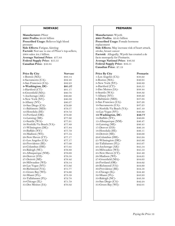#### **NORVASC**

**Manufacturer:** Pfizer **2005 Profits:** \$8.08 billion **Prescribed Usage:** Relieves high blood pressure **Side Effects:** Fatigue, fainting **Factoid:** Norvasc is one of Pfizer's top-sellers; 2004 sales: \$4.5 billion. **Average National Price:** \$77.83 **Federal Supply Price:** \$55.55 **Canadian Price:** \$56.84

| <b>Price By City</b>      | <b>Norvasc</b> |
|---------------------------|----------------|
| 1-Boston (MA)-            | \$83.14        |
| 2-Sacramento (CA)-        | \$82.48        |
| 3-San Francisco (CA)-     | \$82.23        |
| 4-Washington, DC-         | \$81.37        |
| 5-Hartford (CT)-          | \$81.17        |
| 6-Greenfield (MA)-        | \$80.78        |
| 7-Anchorage (AK)-         | \$80.60        |
| 8-New York (NY)-          | \$80.39        |
| 9-Albany (NY)-            | \$80.37        |
| 10-San Diego (CA)-        | \$79.99        |
| 11-Baltimore (MD)-        | \$79.57        |
| 12-Honolulu (HI)-         | \$78.72        |
| 13-Portland (OR)-         | \$78.00        |
| 14-Lansing (MI)-          | \$77.92        |
| 15-Seattle (WA)-          | \$77.91        |
| 16-Norfolk/Va Beach (VA)- | \$77.89        |
| 17-Wilmington (DE)-       | \$77.84        |
| 18-Buffalo (NY)-          | \$77.79        |
| 19-Madison (WI)-          | \$77.54        |
| 20-New Haven (CT)-        | \$77.17        |
| 21-Los Angeles (CA)-      | \$77.17        |
| 22-Providence (RI)-       | \$77.09        |
| 23-Columbus (OH)-         | \$77.05        |
| 24-Raleigh (NC)-          | \$76.89        |
| 25-Albuquerque (NM)-      | \$76.69        |
| 26-Denver (CO)-           | \$76.58        |
| 27-Detroit (MI)-          | \$76.42        |
| 28-Milwaukee (WI)-        | \$76.14        |
| 29-Las Vegas (NV)-        | \$75.92        |
| 30-Richmond (VA)-         | \$75.77        |
| 31-Green Bay (WI)-        | \$74.66        |
| 32-Miami (FL)-            | \$73.59        |
| 33-Tallahassee (FL)-      | \$72.78        |
| 34-Chicago (IL)-          | \$71.79        |
| 35-Des Moines (IA)-       | \$70.32        |
|                           |                |
|                           |                |

#### **PREMARIN**

**Manufacturer:** Wyeth **2005 Profits:** \$3.65 billion **Prescribed Usage:** Female hormone replacement **Side Effects:** May increase risk of heart attack, stroke, breast cancer **Factoid:** Allegedly, Wyeth has created a de facto monopoly for Premarin. **Average National Price:** \$46.32 **Federal Supply Price:** \$32.51 **Canadian Price:** \$7.19

| <b>Price By City</b>      | Premarin |
|---------------------------|----------|
| 1-Los Angeles (CA)-       | \$50.22  |
| 2-Boston (MA)-            | \$49.95  |
| 3-New York (NY)-          | \$49.89  |
| 4-Hartford (CT)-          | \$48.55  |
| 5-Des Moines (IA)-        | \$48.44  |
| 6-Seattle (WA)-           | \$48.32  |
| 7-Albany (NY)-            | \$48.22  |
| 8-Baltimore (MD)-         | \$47.94  |
| 9-San Francisco (CA)-     | \$47.26  |
| 10-Sacramento (CA)-       | \$47.25  |
| 11-Norfolk/Va Beach (VA)- | \$47.10  |
| 12-Las Vegas (NV)-        | \$46.80  |
| 13-Washington, DC-        | \$46.77  |
| 14-Buffalo (NY)-          | \$46.68  |
| 15-Albuquerque (NM)-      | \$46.47  |
| 16-Lansing (MI)-          | \$46.45  |
| 17-Denver (CO)-           | \$46.18  |
| 18-Honolulu (HI)-         | \$46.11  |
| 19-Detroit (MI)-          | \$46.00  |
| 20-Columbus (OH)-         | \$45.94  |
| 21-Wilmington (DE)-       | \$45.86  |
| 22-Tallahassee (FL)-      | \$45.67  |
| 23-Anchorage (AK)-        | \$45.54  |
| 24-Milwaukee (WI)-        | \$45.53  |
| 25-New Haven (CT)-        | \$45.49  |
| 26-Madison (WI)-          | \$44.65  |
| 27-Greenfield (MA)-       | \$44.63  |
| 28-Portland (OR)-         | \$44.62  |
| 29-Richmond (VA)-         | \$44.60  |
| 30-Providence (RI)-       | \$44.58  |
| 31-Chicago (IL)-          | \$44.40  |
| 32-Miami (FL)-            | \$43.93  |
| 33-Raleigh (NC)-          | \$43.50  |
| 34-San Diego (CA)-        | \$42.24  |
| 35-Green Bay (WI)-        | \$42.01  |
|                           |          |
|                           |          |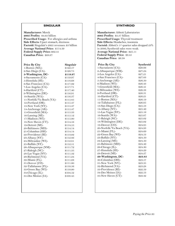#### **SINGULAIR**

**Manufacturer:** Merck **2005 Profits:** \$4.63 billion **Prescribed Usage:** For allergies and asthma **Side Effects:** Upset stomach, dizziness **Factoid:** Singulair's 2005 revenues: \$3 billion **Average National Price:** \$114.39 **Federal Supply Price:** \$62.41 **Canadian Price:** \$68.67

| <b>Price By City</b>      | Singulair |
|---------------------------|-----------|
| 1-Boston (MA)-            | \$122.57  |
| 2-San Diego (CA)-         | \$120.75  |
| 3-Washington, DC-         | \$119.97  |
| 4-Sacramento (CA)-        | \$119.97  |
| 5-Honolulu (HI)-          | \$118.68  |
| 6-San Francisco (CA)-     | \$117.92  |
| 7-Los Angeles (CA)-       | \$117.71  |
| 8-Hartford (CT)-          | \$117.40  |
| 9-Wilmington (DE)-        | \$116.91  |
| 10-Seattle (WA)-          | \$116.37  |
| 11-Norfolk/Va Beach (VA)- | \$115.85  |
| 12-Portland (OR)-         | \$115.47  |
| 13-New York (NY)-         | \$115.47  |
| 14-Anchorage (AK)-        | \$115.47  |
| 15-Greenfield (MA)-       | \$115.33  |
| 16-Lansing (MI)-          | \$115.12  |
| 17-Madison (WI)-          | \$115.00  |
| 18-New Haven (CT)-        | \$114.58  |
| 19-Detroit (MI)-          | \$114.55  |
| 20-Baltimore (MD)-        | \$114.14  |
| 21-Columbus (OH)-         | \$114.14  |
| 22-Providence (RI)-       | \$113.02  |
| 23-Albany (NY)-           | \$112.86  |
| 24-Milwaukee (WI)-        | \$112.81  |
| 25-Buffalo (NY)-          | \$112.51  |
| 26-Albuquerque (NM)-      | \$111.72  |
| 27-Raleigh (NC)-          | \$111.35  |
| 28-Las Vegas (NV)-        | \$111.32  |
| 29-Richmond (VA)-         | \$111.24  |
| 30-Miami (FL)-            | \$111.08  |
| $31$ -Denver (CO)-        | \$111.00  |
| 32-Tallahassee (FL)-      | \$110.56  |
| 33-Green Bay (WI)-        | \$110.00  |
| 34-Chicago (IL)-          | \$104.52  |
| 35-Des Moines (IA)-       | \$103.45  |
|                           |           |
|                           |           |
|                           |           |
|                           |           |

#### **SYNTHROID**

| <b>Manufacturer:</b> Abbott Laboratories                    |           |
|-------------------------------------------------------------|-----------|
| <b>2005 Profits:</b> \$3.37 billion                         |           |
| Prescribed Usage: Thyroid treatment                         |           |
| Side Effects: Headaches, insomnia                           |           |
| Factoid: Abbott's 1 <sup>st</sup> quarter sales dropped 23% |           |
| in 2006; Synthroid sales were weak.                         |           |
| Average National Price: \$25.11                             |           |
| Federal Supply Price: \$9.45                                |           |
| Canadian Price: \$6.38                                      |           |
|                                                             |           |
| <b>Price By City</b>                                        | Synthroid |
| 1-Sacramento (CA)-                                          | \$29.06   |
| 2-Albuquerque (NM)-                                         | \$27.24   |
| 3-Los Angeles (CA)-                                         | \$27.21   |
| 4-San Francisco (CA)-                                       | \$27.03   |
| 5-Anchorage (AK)-                                           | \$26.50   |
| 6-Madison (WI)-                                             | \$26.43   |
| 7-Greenfield (MA)-                                          | \$26.41   |
| 8-Milwaukee (WI)-                                           | \$26.38   |
| 9-Portland (OR)-                                            | \$26.31   |
| 10-Hartford (CT)-                                           | \$26.21   |
| 11-Boston (MA)-                                             | \$26.19   |
| 12-Tallahassee (FL)-                                        | \$26.05   |
| 13-San Diego (CA)-                                          | \$25.53   |
| 14-Albany (NY)-                                             | \$25.49   |
| 15-Las Vegas (NV)-                                          | \$25.16   |
| 16-Seattle (WA)-                                            | \$25.07   |
| 17-Raleigh (NC)-                                            | \$25.02   |
| 18-Wilmington (DE)-                                         | \$25.02   |
| 19-Denver (CO)-                                             | \$24.95   |
| 20-Norfolk/Va Beach (VA)-                                   | \$24.93   |
| 21-Miami (FL)-                                              | \$24.69   |
| 22-Green Bay (WI)-                                          | \$24.53   |
| 23-Buffalo (NY)-                                            | \$24.50   |
| 24-Lansing (MI)-                                            | \$24.50   |
| 25-Baltimore (MD)-                                          | \$24.49   |
| 26-Chicago (IL)-                                            | \$24.30   |
| 27-Honolulu (HI)-                                           | \$24.29   |
| 28-Detroit (MI)-                                            | \$24.27   |
| 29-Washington, DC-                                          | \$23.83   |
| 30-Columbus (OH)-                                           | \$23.57   |
| 31-New York (NY)-                                           | \$23.35   |
| 32-Richmond (VA)-                                           | \$23.28   |
| 33-Providence (RI)-                                         | \$22.59   |
| 34-Des Moines (IA)-                                         | \$22.53   |
| 35-New Haven (CT)-                                          | \$22.42   |
|                                                             |           |
|                                                             |           |
|                                                             |           |
|                                                             |           |
|                                                             |           |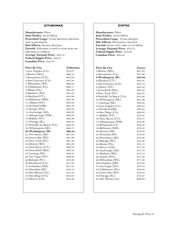#### **ZITHROMAX**

**Manufacturer:** Pfizer **2005 Profits:** \$8.08 billion **Prescribed Usage:** Treats bacterial infections such as pneumonia **Side Effects:** Nausea, dizziness **Factoid:** Zithromax is used to treat acute ear infections in children. **Average National Price:** \$62.12 **Federal Supply Price:** \$42.21 **Canadian Price:** \$42.33

| Price By City             | Zithromax |
|---------------------------|-----------|
| 1-Los Angeles (CA)-       | \$70.07   |
| 2-Boston (MA)-            | \$69.15   |
| 3-Sacramento (CA)-        | \$67.68   |
| 4-San Francisco (CA)-     | \$67.08   |
| 5-Milwaukee (WI)-         | \$66.23   |
| 6-Tallahassee (FL)-       | \$66.17   |
| 7-Miami (FL)-             | \$65.88   |
| 8-Madison (WI)-           | \$65.23   |
| 9-Hartford (CT)-          | \$65.06   |
| 10-Baltimore (MD)-        | \$64.20   |
| 11-Albany (NY)-           | \$64.08   |
| 12-Portland (OR)-         | \$63.76   |
| 13-Seattle (WA)-          | \$63.08   |
| 14-Anchorage (AK)-        | \$62.88   |
| 15-Albuquerque (NM)-      | \$62.88   |
| 16-Buffalo (NY)-          | \$62.86   |
| 17-Chicago (IL)-          | \$62.85   |
| 18-Norfolk/Va Beach (VA)- | \$62.58   |
| 19-Wilmington (DE)-       | \$62.57   |
| 20-Washington, DC-        | \$62.24   |
| 21-Providence (RI)-       | \$61.84   |
| 22-Green Bay (WI)-        | \$61.66   |
| 23-New York (NY)-         | \$61.59   |
| 24-Detroit (MI)-          | \$61.00   |
| 25-New Haven (CT)-        | \$60.78   |
| 26-Greenfield (MA)-       | \$60.52   |
| 27-Lansing (MI)-          | \$60.31   |
| 28-Las Vegas (NV)-        | \$60.06   |
| 29-Raleigh (NC)-          | \$58.30   |
| 30-Richmond (VA)-         | \$57.82   |
| 31-Columbus (OH)-         | \$57.47   |
| 32-Honolulu (HI)-         | \$56.18   |
| 33-Des Moines (IA)-       | \$55.07   |
| 34-San Diego (CA)-        | \$53.95   |
| 35-Denver (CO)-           | \$52.36   |
|                           |           |
|                           |           |
|                           |           |

#### **ZYRTEC**

**Manufacturer:** Pfizer **2005 Profits:** \$8.08 billion **Prescribed Usage:** Treats allergies **Side Effects:** Drowsiness, dizziness **Factoid:** Zyrtec 2005 sales: \$1.05 billion **Average National Price:** \$79.74 **Federal Supply Price:** \$54.09 **Canadian Price:** \$20.43 **Price By City Zyrtec**  1-Boston (MA)- \$87.24 2-Sacramento (CA)- \$87.00 **3-Washington, DC- \$83.98**  4-Hartford (CT)- \$83.97 5-San Francisco (CA)- \$83.73 6-Albany (NY)- \$82.43 7-Greenfield (MA)- \$82.30 8-New York (NY)- \$82.27 9-Norfolk/Va Beach (VA)- \$81.60 10-Wilmington (DE)- \$81.46 11-Lansing (MI)- \$80.88 12-Los Angeles (CA)- \$80.85 13-Portland (OR)- \$80.83 14-San Diego (CA)- \$80.08 15-Buffalo (NY)- \$79.91 16-New Haven (CT)- \$79.57 17-Albuquerque (NM)- \$79.56 18-Richmond (VA)- \$79.32 19-Baltimore (MD)- \$79.05 20-Detroit (MI)- \$79.05 21-Honolulu (HI)- \$78.93 22-Providence (RI)- \$78.46 23-Raleigh (NC)- \$78.40 24-Miami (FL)- \$78.11 25-Denver (CO)-<br>26-Anchorage (AK)- \$77.78 26-Anchorage (AK)-27-Madison (WI)- \$77.75 28-Seattle (WA)- \$77.69 29-Milwaukee (WI)- \$77.38 30-Columbus (OH)- \$76.88 31-Las Vegas (NV)- \$76.79 32-Tallahassee (FL)- \$76.64 33-Green Bay (WI)- \$76.01 34-Chicago (IL)- \$74.47 35-Des Moines (IA)- \$69.89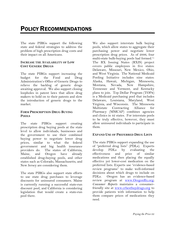The state PIRGs support the following state and federal strategies to address the problem of high prescription drug costs and their impact on all Americans.

#### **INCREASE THE AVAILABILITY OF LOW COST GENERIC DRUGS**

The state PIRGs support increasing the budget for the Food and Drug Administration's Office of Generic Drugs to relieve the backlog of generic drugs awaiting approval. We also support closing loopholes in patent laws that allow drug makers to hold on to their patents and slow the introduction of generic drugs to the market.

#### **FORM PRESCRIPTION DRUG BUYING POOLS**

The state PIRGs support creating prescription drug buying pools at the state level to allow individuals, businesses and the government to use their combined buying power to negotiate lower drug prices, similar to what the federal government and big health insurance providers do. The states of California, Maine, and Oregon have already established drug-buying pools, and other states such as Colorado, Massachusetts, and New Jersey are considering them.

The state PIRGs also support state efforts to use state drug purchases to leverage discounts for uninsured consumers. Maine is currently running a successful state-run discount pool, and California is considering legislation that would create a state-run pool there.

We also support interstate bulk buying pools, which allow states to aggregate their purchasing power and negotiate lower prescription drug prices. As of 2006, four multi-state bulk-buying pools had formed.71 The RX Issuing States (RXIS) project covers public employees in five states: Delaware, Missouri, New Mexico, Ohio, and West Virginia. The National Medicaid Pooling Initiative includes nine states: Alaska, Hawaii, Michigan, Minnesota, Montana, Nevada, New Hampshire, Tennessee and Vermont, and Kentucky plans to join. Top Dollar Program (TOP\$) is a Medicaid purchasing pool that includes Delaware, Louisiana, Maryland, West Virginia, and Wisconsin. The Minnesota Multistate Contracting Alliance for Pharmacy (MMCAP) combines agencies and clinics in 42 states. For interstate pools to be truly effective, however, they must allow uninsured individuals to participate in them.

#### **EXPAND USE OF PREFERRED DRUG LISTS**

The state PIRGs support expanding the use of "preferred drug lists" (PDLs). Experts develop PDLs by evaluating the effectiveness and price of similar medications and then placing the equally effective yet lower-cost medication on the preferred lists. Experts use "evidence-based review programs" to make well-informed decisions about which drugs to include on PDLs. Oregon has an evidence-based review program at www.OregonRx.org; *Consumer Reports* maintains a consumerfriendly site at www.crbestbuydrugs.org to provide patients with information to help them compare prices of medications they need.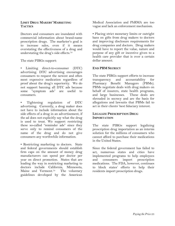#### **LIMIT DRUG MAKERS' MARKETING TACTICS**

Doctors and consumers are inundated with commercial information about brand-name prescription drugs. The marketer's goal is to increase sales, even if it means overstating the effectiveness of a drug and understating the drug's side effects.72

The state PIRGs support:

Limiting direct-to-consumer (DTC) advertising. DTC advertising encourages consumers to request the newest and often most expensive medication regardless of proof about the drug's superiority. We do not support banning all DTC ads because some "symptom ads" are useful to consumers.

Tightening regulation of DTC advertising. Currently, a drug maker does not have to include information about the side effects of a drug in an advertisement, if the ad does not explicitly say what the drug is used to treat. We support restricting these so-called "reminder ads" since they serve only to remind consumers of the name of the drug and do not give consumers any worthwhile information.

• Restricting marketing to doctors. State and federal governments should establish firm caps on the amount of money drug manufacturers can spend per doctor per year on direct promotion. States that are leading the way in restricting marketing to doctors include California, Minnesota, Maine and Vermont.<sup>73</sup> The voluntary guidelines developed by the American

Medical Association and PhRMA are too vague and lack an enforcement mechanism.

• Placing strict monetary limits or outright bans on gifts from drug makers to doctors and improving disclosure requirements for drug companies and doctors. Drug makers would have to report the value, nature and purpose of any gift or incentive given to a health care provider that is over a certain dollar amount.

#### **END PBM SECRECY**

The state PIRGs support efforts to increase transparency and accountability for Pharmacy Benefit Managers (PBMs). PBMs negotiate deals with drug makers on behalf of insurers, state health programs, and large businesses. These deals are shrouded in secrecy and are the basis for allegations and lawsuits that PBMs fail to act in their clients' best fiduciary interest.

#### **LEGALIZE PRESCRIPTION DRUG IMPORTATION**

The state PIRGs support legalizing prescription drug importation as an interim solution for the millions of consumers who cannot afford to purchase their medications in the United States.

Since the federal government has failed to act, numerous states and cities have implemented programs to help employees and consumers import prescription medications. The FDA, however, continues to block states' efforts to help their residents import prescription drugs.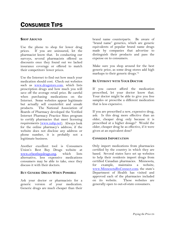# CONSUMER TIPS

#### **SHOP AROUND**

Use the phone to shop for lower drug prices. If you are uninsured, let the pharmacist know that. In conducting our surveys, several pharmacists offered us discounts once they found out we lacked insurance coverage or offered to match their competitors' lower prices.

Use the Internet to find out how much your medication should cost. Check out websites such as www.drugstore.com, which lists prescription drugs and how much you will save off the average retail price. Be careful when purchasing medications on the Internet. Some websites appear legitimate but actually sell counterfeit and unsafe products. The National Association of Boards of Pharmacy developed the Verified Internet Pharmacy Practice Sites program to certify pharmacies that meet licensing requirements (www.nabp.net). Always look for the online pharmacy's address; if the website does not disclose any address or phone number, it is probably not a legitimate business.

Another excellent tool is Consumers Union's Best Buy Drugs website at www.crbestbuydrugs.org, which lists alternative, less expensive medications consumers may be able to take, once they discuss it with their doctors.

#### **BUY GENERIC DRUGS WHEN POSSIBLE**

Ask your doctor or pharmacists for a generic version of your medication. Generic drugs are much cheaper than their brand name counterparts. Be aware of "brand name" generics, which are generic equivalents of popular brand name drugs made by companies that advertise to distinguish their products and pass the expense on to consumers.

Make sure you shop around for the best generic price, as some drug stores add high markups to their generic drugs.74

#### **BE UPFRONT WITH YOUR DOCTOR**

If you cannot afford the medication prescribed, let your doctor know that. Your doctor might be able to give you free samples or prescribe a different medication that is less expensive.

If you are prescribed a new, expensive drug, ask: Is this drug more effective than an older, cheaper drug only because it is prescribed at a higher dosage? Would the older, cheaper drug be as effective, if it were given at an equivalent dose?

#### **CONSIDER IMPORTATION**

Only import medications from pharmacies certified by the country in which they are based. Several states have set up websites to help their residents import drugs from certified Canadian pharmacies. Minnesota, for example, maintains a website, www.MinnesotaRxConnect.com; the state's Department of Health has visited and approved each of the pharmacies included on its website. These websites are generally open to out-of-state consumers.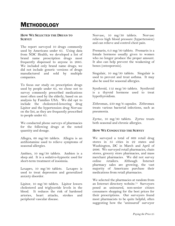## **METHODOLOGY**

#### **HOW WE SELECTED THE DRUGS TO SURVEY**

The report surveyed 10 drugs commonly used by Americans under 65. Using data from NDC Health, we developed a list of brand name prescription drugs most frequently dispensed to anyone in 2005. We included only brand name drugs; we did not include generic versions of drugs manufactured and sold by multiple companies.

To focus our study on prescription drugs used by people under 65, we chose not to survey commonly prescribed medications most often used by the elderly, based on an analysis by Families USA. We did opt to include the cholesterol-lowering drug Lipitor and the hypertension drug Norvasc on the list, as they are frequently prescribed to people under 65.

We conducted phone surveys of pharmacies for the following drugs at the noted quantity and dosage.

Allegra, 60 mg/60 tablets. Allegra is an antihistamine used to relieve symptoms of seasonal allergies.

Ambien, 10 mg/30 tablets. Ambien is a sleep aid. It is a sedative-hypnotic used for short-term treatment of insomnia.

Lexapro, 10 mg/30 tablets. Lexapro is used to treat depression and generalized anxiety disorder.

Lipitor, 10 mg/30 tablets. Lipitor lowers cholesterol and triglyceride levels in the blood. It reduces the risk of hardened arteries, heart attacks, strokes and peripheral vascular disease.

Norvasc, 10 mg/30 tablets. Norvasc relieves high blood pressure (hypertension) and can relieve and control chest pain.

Premarin, 0.3 mg/30 tablets. Premarin is a female hormone usually given to women who no longer produce the proper amount. It also can help prevent the weakening of bones (osteoporosis).

Singulair, 10 mg/30 tablets. Singulair is used to prevent and treat asthma. It may also be used for seasonal allergies.

Synthroid, 112 mcg/30 tablets. Synthroid is a thyroid hormone used to treat hypothyroidism.

Zithromax, 250 mg/6 capsules. Zithromax treats various bacterial infections, such as pneumonia.

Zyrtec, 10 mg/30 tablets. Zyrtec treats both seasonal and chronic allergies.

#### **HOW WE CONDUCTED THE SURVEY**

We surveyed a total of 669 retail drug stores in 35 cities in 22 states and Washington, DC in March and April of 2006. We surveyed retail pharmacies, chain stores, grocery store pharmacies, and mass merchant pharmacies. We did not survey online retailers. Although Internet pharmacy sales are growing, the vast majority of Americans purchase their medications from retail pharmacies.

We selected the pharmacies at random from an Internet directory website.75 Surveyors posed as uninsured, non-senior citizen consumers shopping for the best prices for their prescriptions. Our surveyors found most pharmacists to be quite helpful, often suggesting how the "uninsured" surveyor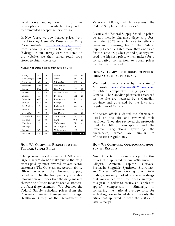could save money on his or her prescriptions. If available, they often recommended cheaper generic drugs.

In New York, we downloaded prices from the Attorney General's Prescription Drug Price website (http://www.nyagrx.org/) from randomly selected retail drug stores. If drugs on our survey were not listed on the website, we then called retail drug stores to obtain the prices.

#### **Number of Drug Stores Surveyed by City**

| Albany      | <b>NY</b> | 19 | Madison         | WI        | 13  |
|-------------|-----------|----|-----------------|-----------|-----|
| Albuquerque | NM        | 18 | Miami           | FL        | 17  |
| Anchorage   | AК        | 19 | Milwaukee       | WI        | 15  |
| Baltimore   | MD        | 20 | New Haven       | <b>CT</b> | 16  |
| Boston      | МA        | 20 | New York        | NY        | 21  |
| Buffalo     | NY        | 20 | Norfolk/V.Beach | VA        | 20  |
| Chicago     | IL        | 19 | Portland        | <b>OR</b> | 20  |
| Columbus    | OН        | 20 | Providence      | RI        | 20  |
| Denver      | CO.       | 20 | Raleigh         | NC        | 20  |
| Des Moines  | IA        | 20 | Richmond        | VA        | 19  |
| Detroit     | МI        | 20 | Sacramento      | <b>CA</b> | 21  |
| Green Bay   | WI        | 16 | San Diego       | <b>CA</b> | 20  |
| Greenfield  | MA        | 16 | San Francisco   | <b>CA</b> | 20  |
| Hartford    | <b>CT</b> | 20 | Seattle         | WA        | 20  |
| Honolulu    | НI        | 20 | Tallahassee     | FL        | 20  |
| Lansing     | МI        | 20 | Washington      | DC        | 20  |
| Las Vegas   | NV        | 20 | Wilmington      | DE        | 20  |
| Los Angeles | <b>CA</b> | 20 | Total           |           | 669 |

#### **HOW WE COMPARED RESULTS TO THE FEDERAL SUPPLY PRICE**

The pharmaceutical industry, HMOs, and large insurers do not make public the drug prices paid by most favored private sector customers. The Government Accountability Office considers the Federal Supply Schedule to be the best publicly available information on prices that the drug makers charge one of their most favored customers, the federal government. We obtained the Federal Supply Schedule prices from the Pharmacy Benefits Management Strategic Healthcare Group of the Department of Veterans Affairs, which oversees the Federal Supply Schedule prices.76

Because the Federal Supply Schedule prices do not include pharmacy-dispensing fees, we added \$6.75 to each price to reflect a generous dispensing fee. If the Federal Supply Schedule listed more than one price for the same drug (dosage and quantity), we used the highest price, which makes for a conservative comparison to retail prices paid by the uninsured.

#### **HOW WE COMPARED RESULTS TO PRICES FROM A CANADIAN PHARMACY**

We used a website run by the state of Minnesota, www.MinnesotaRxConnect.com, to obtain comparative drug prices in Canada. The Canadian pharmacies featured on the site are licensed by a Canadian province and governed by the laws and regulations of Canada.

Minnesota officials visited the pharmacies listed on the site and reviewed their facilities. They also reviewed the protocols used for filling prescriptions and the Canadian regulations governing the pharmacies, which are similar to Minnesota's regulations.

#### **HOW WE COMPARED OUR 2004 AND 2006 SURVEY RESULTS**

Nine of the ten drugs we surveyed for this report also appeared in our 2004 survey:<sup>77</sup> Allegra, Ambien, Lipitor, Norvasc, Premarin, Singulair, Synthroid, Zithromax, and Zyrtec. When referring to our 2004 findings, we only looked at the nine drugs that overlapped with the drugs surveyed this year in order to ensure an "apples to apples" comparison. Similarly, in comparing the national average price for each drug, we included data from only the cities that appeared in both the 2004 and 2006 surveys.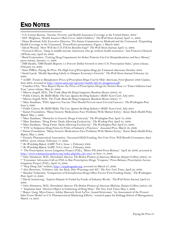## END NOTES

 $\overline{a}$ 

- <sup>1</sup> U.S. Census Bureau, "Income, Poverty, and Health Insurance Coverage in the United States: 2004."<br><sup>2</sup> M.P. McQueen, "Health Insurers Must Cover Adult Children," *The Wall Street Journal*, April 11, 2006.<br><sup>3</sup> Diane Rowla
- Health Coverage to the Uninsured," PowerPoint presentation, Figure 5, March 2006.<br><sup>4</sup> David Wessel, "How Will the U.S. Fill Its Benefits Gap?" The Wall Street Journal, April 13, 2006.
- <sup>5</sup> Victoria Colliver, "Jump in middle-income Americans who go without health insurance," San Francisco Chronicle
- *(SFGate.com),* April 26, 2006.<br><sup>6</sup> Rand Corporation, "Cutting Drug Copayments for Sicker Patients Can Cut Hospitalizations and Save Money," press release, January 11, 2006.
- 7 IMS Health, "IMS Health Reports 5.4 Percent Dollar Growth in 2005 U.S. Prescription Sales," press release, February 22, 2006.

<sup>8</sup> State PIRGs, Paying the Price: The High Cost of Prescription Drugs for Uninsured Americans, October 2004.<br><sup>9</sup> Sarah Lueck, "Health Spending Likely to Outpace Economy's Growth," The Wall Street Journal, February 22, 2006.

10 AARP, *Trends in Manufacturer Prices of Prescription Drugs Used by Older Americans*, First Quarter 2006 Update, June 2006, accessed at http://assets.aarp.org/rgcenter/health/dd140\_drugprices.pdf. 11 Families USA, "New Report Shows the Prices of Prescription Drugs for Seniors Rose 4.3 Times Inflation Last

Year," press release, May 25, 2004.

<sup>12</sup> Marcia Angell, M.D., *The Truth About the Drug Companies*, Random House (2004), 48.<br><sup>13</sup> Public Citizen, *Rx R&D Myths: The Case Against the Drug Industry's R&D 'Scare Card'*, July 2001.<br><sup>14</sup> Marcia Angell, M.D., *The* June 9, 2006.

16 Public Citizen, *Rx R&D Myths: The Case Against the Drug Industry's R&D 'Scare Card'*, July 2001. 17 Kaiser Foundation, "Many Generic Medications Face Problems With Market Entry," *Kaiser Daily Health Policy*  Report, May 1, 2006.<br><sup>18</sup> Marc Kaufman, "Obstacles to Generic Drugs Criticized," *The Washington Post*, April 19, 2006.<br><sup>19</sup> Marc Kaufman, "Drug Firms' Deals Allowing Exclusivity," *The Washing Post*, April 25, 2006.<br><sup>20</sup>

*Report*, May 1, 2006.<br><sup>23</sup> Generic Pharmaceutical Association, "Increased OGD Funding, Not User Fees, Will Benefit Consumers, Says

GPhA," press release, February 17, 2006.

<sup>24</sup> Rx Watchdog Report, AARP, Vol.3, Issue 1, February 2006.<br><sup>25</sup> Rx Watchdog Report, AARP, Vol.3, Issue 1, February 2006.<br><sup>26</sup> The Prescription Access Litigation Project (PAL), "Bitter Pill 2006 Press Release," April 26

<sup>27</sup> John Abramson, M.D., *Overedo\$ed America: The Broken Promise of American Medicine*, Harper-Collins (2004), 10.<br><sup>28</sup> "Consumer Advocates Call on FDA to Ban Prescription Drugs "Coupons," Press Release, Prescription Acce

Litigation Project (PAL), April 10, 2006.<br><sup>29</sup> "Stop Drug Ads" website, <u>http://stopdrugsads.org</u>, accessed on March 27, 2006.

<sup>30</sup> Alex Berenson, "Celebrex Ads Are Back, Dire Warnings and All," *The New York Times*, April 29, 2006.

31 Shankar Vedantam, "Comparison of Schizophrenia Drugs Often Favors Firm Funding Study," *The Washington Post, April 12, 2006.*<br><sup>32</sup> David Armstrong, "Aspirin Dispute Is Fueled by Funds of Industry Rivals," *The Wall Street Journal*, April 24,

2006.

<sup>33</sup> John Abramson, M.D., *Overedo\$ed America: The Broken Promise of American Medicine*, Harper-Collins (2004), xiii.<br><sup>34</sup> Stephanie Saul, "Doctors Object to Gathering of Drug Data," T*he New York Times*, May 4, 2006.<br><sup>35</sup>

Sales Force Model on U.S. Pharmaceutical Marketing Efforts," research paper for Kellogg School of Management, March 14, 2005.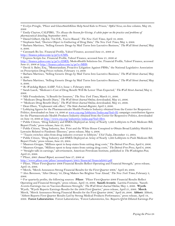36 Evelyn Pringle, "Pfizer and GlaxoSmithKline Help Send Kids to Prison," *OpEd News,* on-line column, May 29, 2006

 $\overline{a}$ 

http://finance.yahoo.com/q/pr?s=CMX.<br><sup>42</sup> Express Scripts Inc. Financial Profile, Yahoo! Finance, accessed June 21, 2006 at

http://finance.yahoo.com/q/pr?s=ESRX; MedcoHealth Solutions Inc. Financial Profile, Yahoo! Finance, accessed June 21, 2006 at http://finance.yahoo.com/q/pr?s=MHS.

<sup>43</sup> David A. Balto, Esq., "Memorandum, Proactive Litigation Against PBMs," the National Legislative Association on Prescription Drug Prices website, February 14, 2006

44 Barbara Martinez, "Selling Generic Drugs by Mail Turns Into Lucrative Business," *The Wall Street Journal,* May 9, 2006.

45 Barbara Martinez, "Selling Generic Drugs by Mail Turns Into Lucrative Business," *The Wall Street Journal,* May 9, 2006.

- 
- <sup>46</sup> Rx Watchdog Report, AARP, Vol.3, Issue 1, February 2006.<br><sup>47</sup> Sarah Lueck, "Medicare's Cost of Drug Benefit Will Be Lower Than Expected," *The Wall Street Journal*, May 2, 2006.

<sup>48</sup> Milt Freudenheim, "A Benefit for Insurers," *The New York Times*, March 31, 2006.<br><sup>49</sup> "Medicare Drug Benefit Diary," *The Wall Street Journal Online*, downloaded, May 25, 2006.<br><sup>50</sup> "Medicare Drug Benefit Diary," *T* 

Politics, downloaded on June 14, 2006 at www.crp.org/lobbyists/Indus.asp?Ind=H; campaign contribution figures for the Pharmaceuticals/Health Products Industry obtained from the Center for Responsive Politics, downloaded on June 19, 2006 at http://www.crp.org/industries/indus.asp?Ind=H04.<br><sup>53</sup> Public Citizen, "Drug Industry and HMOs Deployed an Army of Nearly 1,000 Lobbyists to Push Medicare Bill,

Report Finds," press release, June 23, 2004.

<sup>54</sup> Public Citizen, "Drug Industry, Sen. Frist and the White House Conspired to Obtain Broad Liability Shield for<br>Lawsuits Related to Pandemic Illnesses," press release, May 4, 2006.

55 "Tauzin switches sides from drug industry overseer to lobbyist," USA Today, December 15, 2004.<br>56 Public Citizen, "Drug Industry and HMOs Deployed an Army of Nearly 1,000 Lobbyists to Push Medicare Bill, Report Finds," press release, June 23, 2004.

<sup>57</sup> Maureen Groppe, "Millions spent to keep states from cutting drug costs," *The Detroit Free Press*, April 6, 2006.<br><sup>58</sup> Maureen Groppe, "Millions spent to keep states from cutting drug costs," *The Detroit Free Press* 

April 25, 2006.

60 Pfizer, *2005 Annual Report*, accessed June 27, 2006 at

61 Pfizer, "Pfizer First-Quarter 2006 Financial Results Reflect Operating and Financial Strength," press release, April 19, 2006.<br><sup>62</sup> Merck, "Merck Announces Strong Financial Results for the First Quarter 2006," April 20, 2006.

62 Merck, "Merck Announces Strong Financial Results for the First Quarter 2006," April 20, 2006. 63 Alex Berenson, "After Dreary '05, Drug Makers See Brighter Year Ahead," *The New York Times,* February 3, 2006.

64 For quarterly profits, the following sources: **Pfizer**: "Pfizer First-Quarter 2006 Financial Results Reflect Operating and Financial Strength," press release, April 19, 2006. **Sanofi-Aventis**: Laetitia Fontaine, "Sanofi-Aventis Earnings rise on Vaccines-Business Strength," *The Wall Street Journal Online,* May 5, 2006. **Wyeth**:

Wyeth, "Wyeth Reports Earnings Results for the 2006 First Quarter," press release, April 21, 2006. **Merck**: Merck, "Merck Announces Strong Financial Results for the First Quarter 2006," April 20, 2006. **Abbott**: Abbott, "Abbott Reports First Quarter Results Led by Strong Medical Products Performance," press release, April 19,

2006. **Forest Laboratories:** Forest Laboratories, "Forest Laboratories, Inc. Reports Q4'06 Diluted Earnings Per

<sup>37</sup> Emily Clayton, CALPIRG, *'Tis Always the Season for Giving: A white paper on the practice and problems of pharmaceutical detailing*, September 2004. 38 Daniel Gilbert, Op-Ed, "I'm O.K., You're Biased," *The New York Times,* April 16, 2006*.* 

<sup>&</sup>lt;sup>40</sup> Barbara Martinez, "Selling Generic Drugs by Mail Turns Into Lucrative Business," *The Wall Street Journal*, May 9, 2006.

<sup>41</sup> Caremark Rx Inc. Financial Profile, Yahoo! Finance, accessed June 21, 2006 at